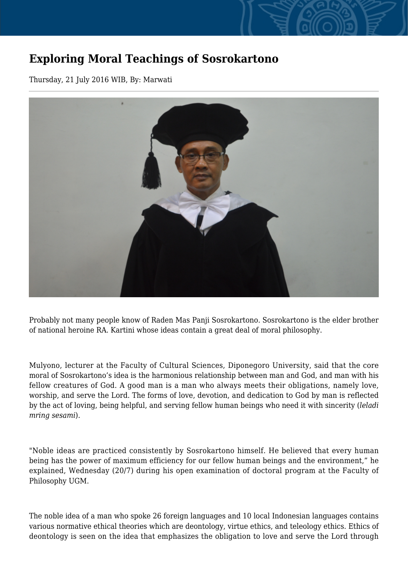## **Exploring Moral Teachings of Sosrokartono**

Thursday, 21 July 2016 WIB, By: Marwati



Probably not many people know of Raden Mas Panji Sosrokartono. Sosrokartono is the elder brother of national heroine RA. Kartini whose ideas contain a great deal of moral philosophy.

Mulyono, lecturer at the Faculty of Cultural Sciences, Diponegoro University, said that the core moral of Sosrokartono's idea is the harmonious relationship between man and God, and man with his fellow creatures of God. A good man is a man who always meets their obligations, namely love, worship, and serve the Lord. The forms of love, devotion, and dedication to God by man is reflected by the act of loving, being helpful, and serving fellow human beings who need it with sincerity (*leladi mring sesami*).

"Noble ideas are practiced consistently by Sosrokartono himself. He believed that every human being has the power of maximum efficiency for our fellow human beings and the environment," he explained, Wednesday (20/7) during his open examination of doctoral program at the Faculty of Philosophy UGM.

The noble idea of a man who spoke 26 foreign languages and 10 local Indonesian languages contains various normative ethical theories which are deontology, virtue ethics, and teleology ethics. Ethics of deontology is seen on the idea that emphasizes the obligation to love and serve the Lord through